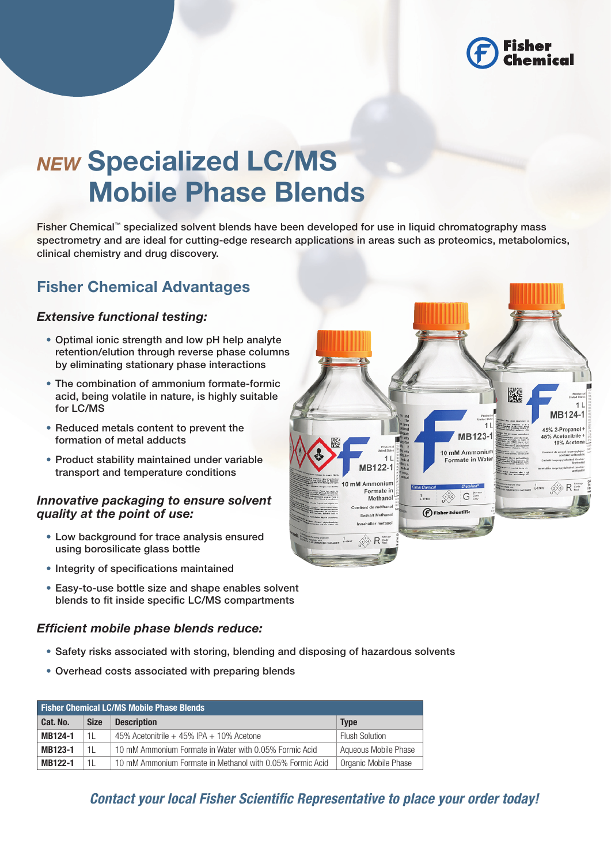

# *NEW* Specialized LC/MS Mobile Phase Blends

Fisher Chemical™ specialized solvent blends have been developed for use in liquid chromatography mass spectrometry and are ideal for cutting-edge research applications in areas such as proteomics, metabolomics, clinical chemistry and drug discovery.

# Fisher Chemical Advantages

### *Extensive functional testing:*

- Optimal ionic strength and low pH help analyte retention/elution through reverse phase columns by eliminating stationary phase interactions
- The combination of ammonium formate-formic acid, being volatile in nature, is highly suitable for LC/MS
- Reduced metals content to prevent the formation of metal adducts
- Product stability maintained under variable transport and temperature conditions

#### *Innovative packaging to ensure solvent quality at the point of use:*

- Low background for trace analysis ensured using borosilicate glass bottle
- Integrity of specifications maintained
- Easy-to-use bottle size and shape enables solvent blends to fit inside specific LC/MS compartments

### *Efficient mobile phase blends reduce:*

- • Safety risks associated with storing, blending and disposing of hazardous solvents
- Overhead costs associated with preparing blends

| <b>Fisher Chemical LC/MS Mobile Phase Blends.</b> |             |                                                           |                       |  |  |
|---------------------------------------------------|-------------|-----------------------------------------------------------|-----------------------|--|--|
| Cat. No.                                          | <b>Size</b> | <b>Description</b>                                        | <b>Type</b>           |  |  |
| MB124-1                                           | 11          | 45% Acetonitrile $+45%$ IPA $+10%$ Acetone                | <b>Flush Solution</b> |  |  |
| MB123-1                                           | 1L          | 10 mM Ammonium Formate in Water with 0.05% Formic Acid    | Aqueous Mobile Phase  |  |  |
| MB122-1                                           | 11          | 10 mM Ammonium Formate in Methanol with 0.05% Formic Acid | Organic Mobile Phase  |  |  |

*Contact your local Fisher Scientific Representative to place your order today!*